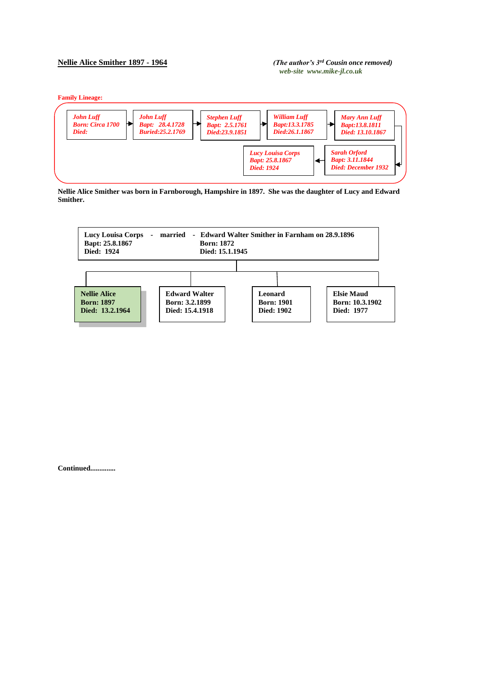## **Nellie Alice Smither 1897 - 1964** *(The author's 3rd Cousin once removed)**web-site www.mike-jl.co.uk*

**Family Lineage:**



**Nellie Alice Smither was born in Farnborough, Hampshire in 1897. She was the daughter of Lucy and Edward Smither.**



**Continued..............**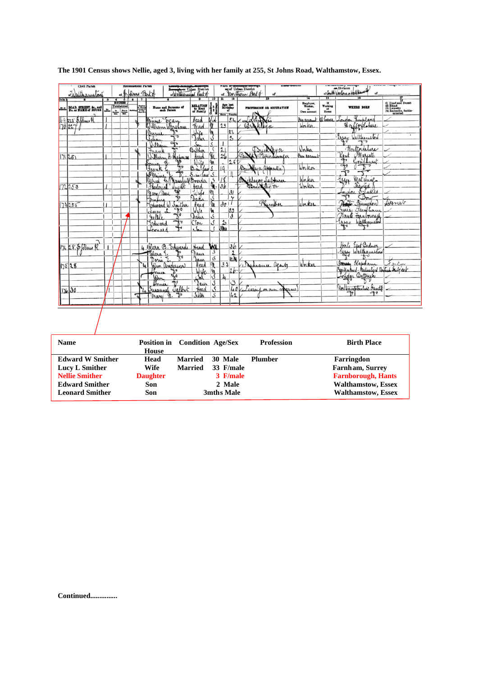| Civil Parish<br>ortisthamston                                              | <b>Ecclesiantical Parish</b><br>of B. Slms Parto   | Borget or Urban District                                         |                                     |                                          |                                                                                                                                     | of Urban District<br>of Verthern Part of  |                                     |                                                                                               | or South Neaton Mallkaun                                                                   |                                                                              |
|----------------------------------------------------------------------------|----------------------------------------------------|------------------------------------------------------------------|-------------------------------------|------------------------------------------|-------------------------------------------------------------------------------------------------------------------------------------|-------------------------------------------|-------------------------------------|-----------------------------------------------------------------------------------------------|--------------------------------------------------------------------------------------------|------------------------------------------------------------------------------|
| <b>Cola</b><br>BOAD, STREET, &c., and<br>No. or NAME of HOUSE<br><b>JE</b> | ठा<br>$\frac{4}{100828}$<br>Uninhabited<br>₩<br>승물 | Name and Surname of<br>each Person                               | RELATION<br>to Head<br>of Family    | 10                                       | $\overline{\mathbf{u}}$<br>$\begin{array}{c}\n\textbf{Age last} \\ \textbf{Birthday} \\ \textbf{of}\n\end{array}$<br>Males / Fomale | <b>PROFESSION OR OCCUPATION</b>           | Employer,<br>Worker,<br>Own account | $\overline{\mathbf{r}}$<br>$\frac{1}{t}$ Working<br>$\mathbf{H}^{\mathrm{at}}_{\mathrm{oma}}$ | <b>WHERE BORN</b>                                                                          | (1) Deaf and Dumb<br>(3) Blind<br>(3) Lunatic<br>(4) Imbecile, feeble-minded |
| $69255$ Solding R<br>170227                                                |                                                    | Minime ocan<br>William Wareham<br>Lumi                           | Head<br>Head                        | vid<br>m                                 | 54<br>23<br>22                                                                                                                      | Salandis<br>Broadwa                       | bus account<br>Worker               | athony                                                                                        | Rinkland<br>Haffordolure                                                                   |                                                                              |
|                                                                            |                                                    | ᠇<br>$f_{\rm max}$<br>∾<br>William                               | Juje<br>$S_{n}$<br>Brother          | y<br>\$.                                 | $2^{\circ}$<br>⊥                                                                                                                    |                                           | Valen                               |                                                                                               | Essay Walthamstord<br>Northornhure                                                         |                                                                              |
| 171251                                                                     |                                                    | Jran<br>William<br>H-Chapman<br>41<br>Frank                      | Head<br>Wile                        | <b>SEC</b><br><b>In</b><br>S             | $rac{21}{21}$<br>26<br>×.<br>19                                                                                                     | Paint Pricklyne<br>Brinklager apprentice) | <i>Dun account</i><br>Worker        |                                                                                               | <i>Mariate</i><br>Goudhuret<br>Kend<br>ት<br>क                                              |                                                                              |
| 172253                                                                     |                                                    | Maine & Maurful<br>Frederick                                     | S-in<br>law<br>Boarder<br>Head      | 7.<br>ok.                                | $\overline{18}$<br>36                                                                                                               | Diployer Saltura                          | Worker                              |                                                                                               | $\overline{\mathcal{A}}$<br>hage<br>Matchine<br><i><u><b><i><u>Mayried</u></i></b></u></i> |                                                                              |
| 73255                                                                      |                                                    | Mary au<br>Edward W Smither                                      | Julie<br>Dak<br>Head                | $\frac{m}{s}$<br>In                      | 31<br>$\mathsf{v}$<br>$\partial o$                                                                                                  | Phymber                                   | Worker                              |                                                                                               | Stukes<br>Indon<br>Bow<br>Date Farmingdon                                                  | Donet                                                                        |
|                                                                            |                                                    | P<br><b>ULEM</b><br>helli.<br>$\rightarrow$<br>Edward<br>Leonard | Wile<br>Dahir<br>CSon<br>$\sqrt{2}$ | 'n<br>Ś<br>$\mathcal{S}$<br>$\cdot$ s    | وو<br>في<br>$\mathbf{r}$<br>3 <sub>ha</sub>                                                                                         |                                           |                                     |                                                                                               | Surre Familiar<br>Naute Fassborough<br>Expert Wallhamston                                  |                                                                              |
| 174 28. \$ felms R                                                         |                                                    | 4 Hara B. Edwards<br>Pulara Ez                                   | Head<br>Daus                        | wa<br>S                                  | 3b<br>$\frac{2}{10.06}$                                                                                                             |                                           |                                     |                                                                                               | East Badner<br>Herto<br>Essex Walthamston                                                  |                                                                              |
| 17528                                                                      |                                                    | Doris<br>Jan anderson<br>John                                    | Jaun<br>Head<br>Wye                 | $\overline{\mathcal{S}}$<br>M.<br>e<br>S | 33<br>2b                                                                                                                            | Musuce apents                             | Worker                              |                                                                                               | Sterry blapham<br>Syntjaland-Materalized Broteck Subject                                   | triba                                                                        |
| 17630                                                                      |                                                    | ₩<br>Donica<br>Susannel Jalbut<br>ሙ<br>Mary n.                   | Daw<br>Head<br>Siter                | S<br>S<br>S                              | 3<br>$\overline{40}$<br>42                                                                                                          | Civil now means)                          |                                     |                                                                                               | Northamptonolive Pande<br>٩t                                                               |                                                                              |
|                                                                            |                                                    |                                                                  |                                     |                                          |                                                                                                                                     |                                           |                                     |                                                                                               |                                                                                            |                                                                              |
| <b>Name</b>                                                                |                                                    | <b>Position</b> in<br>House                                      | <b>Condition Age/Sex</b>            |                                          |                                                                                                                                     | <b>Profession</b>                         |                                     |                                                                                               | <b>Birth Place</b>                                                                         |                                                                              |
| <b>Edward W Smither</b><br><b>Lucy L Smither</b><br><b>Nellie Smither</b>  |                                                    | Head<br>Wife<br><b>Daughter</b>                                  | <b>Married</b><br><b>Married</b>    |                                          | 30 Male<br>33 F/male<br>3 F/male                                                                                                    | Plumber                                   |                                     |                                                                                               | Farringdon<br>Farnham, Surrey<br><b>Farnborough, Hants</b>                                 |                                                                              |

|  |  |  |  |  | The 1901 Census shows Nellie, aged 3, living with her family at 255, St Johns Road, Walthamstow, Essex. |  |
|--|--|--|--|--|---------------------------------------------------------------------------------------------------------|--|
|--|--|--|--|--|---------------------------------------------------------------------------------------------------------|--|

**Nellie Smither Daughter 3 F/male Farnborough, Hants** Edward Smither Son 2 Male Walthamstow, Essex<br>
Leonard Smither Son 3mths Male Walthamstow, Essex **Walthamstow, Essex**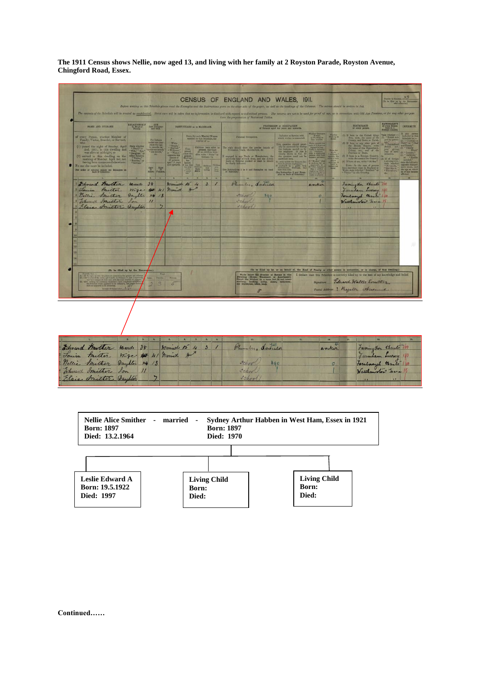**The 1911 Census shows Nellie, now aged 13, and living with her family at 2 Royston Parade, Royston Avenue, Chingford Road, Essex.** 





**Continued……**